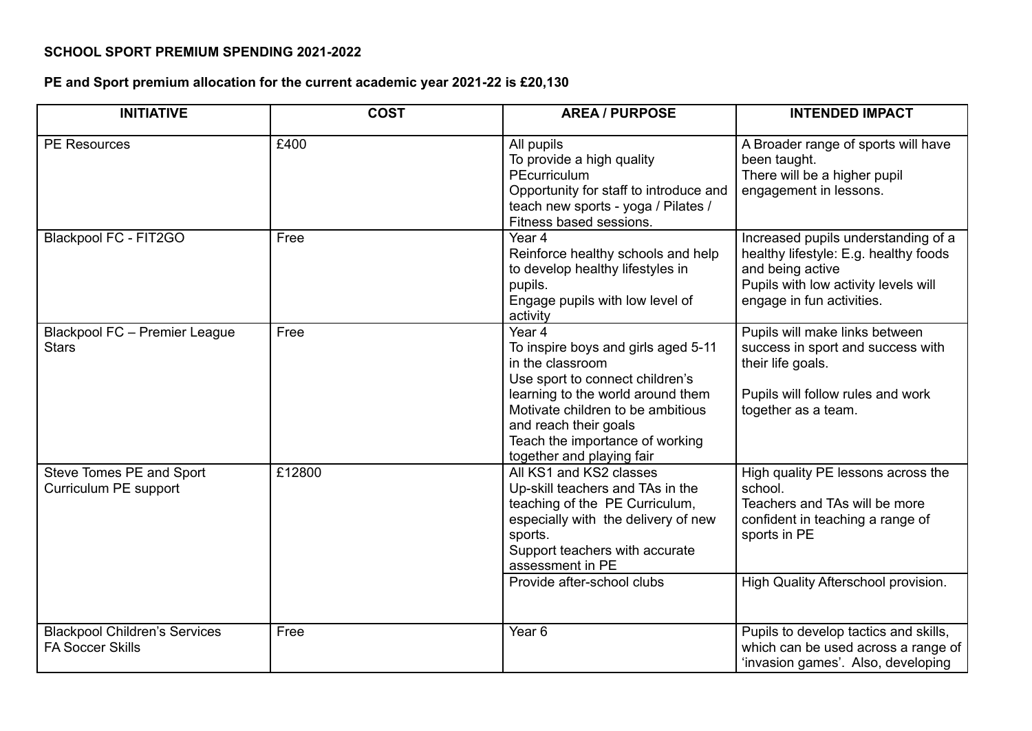## **SCHOOL SPORT PREMIUM SPENDING 2021-2022**

## **PE and Sport premium allocation for the current academic year 2021-22 is £20,130**

| <b>INITIATIVE</b>                                               | <b>COST</b> | <b>AREA / PURPOSE</b>                                                                                                                                                                                                                                                   | <b>INTENDED IMPACT</b>                                                                                                                                                |
|-----------------------------------------------------------------|-------------|-------------------------------------------------------------------------------------------------------------------------------------------------------------------------------------------------------------------------------------------------------------------------|-----------------------------------------------------------------------------------------------------------------------------------------------------------------------|
| <b>PE Resources</b>                                             | £400        | All pupils<br>To provide a high quality<br>PEcurriculum<br>Opportunity for staff to introduce and<br>teach new sports - yoga / Pilates /<br>Fitness based sessions.                                                                                                     | A Broader range of sports will have<br>been taught.<br>There will be a higher pupil<br>engagement in lessons.                                                         |
| <b>Blackpool FC - FIT2GO</b>                                    | Free        | Year 4<br>Reinforce healthy schools and help<br>to develop healthy lifestyles in<br>pupils.<br>Engage pupils with low level of<br>activity                                                                                                                              | Increased pupils understanding of a<br>healthy lifestyle: E.g. healthy foods<br>and being active<br>Pupils with low activity levels will<br>engage in fun activities. |
| Blackpool FC - Premier League<br><b>Stars</b>                   | Free        | Year 4<br>To inspire boys and girls aged 5-11<br>in the classroom<br>Use sport to connect children's<br>learning to the world around them<br>Motivate children to be ambitious<br>and reach their goals<br>Teach the importance of working<br>together and playing fair | Pupils will make links between<br>success in sport and success with<br>their life goals.<br>Pupils will follow rules and work<br>together as a team.                  |
| Steve Tomes PE and Sport<br>Curriculum PE support               | £12800      | All KS1 and KS2 classes<br>Up-skill teachers and TAs in the<br>teaching of the PE Curriculum,<br>especially with the delivery of new<br>sports.<br>Support teachers with accurate<br>assessment in PE                                                                   | High quality PE lessons across the<br>school.<br>Teachers and TAs will be more<br>confident in teaching a range of<br>sports in PE                                    |
|                                                                 |             | Provide after-school clubs                                                                                                                                                                                                                                              | High Quality Afterschool provision.                                                                                                                                   |
| <b>Blackpool Children's Services</b><br><b>FA Soccer Skills</b> | Free        | Year <sub>6</sub>                                                                                                                                                                                                                                                       | Pupils to develop tactics and skills,<br>which can be used across a range of<br>'invasion games'. Also, developing                                                    |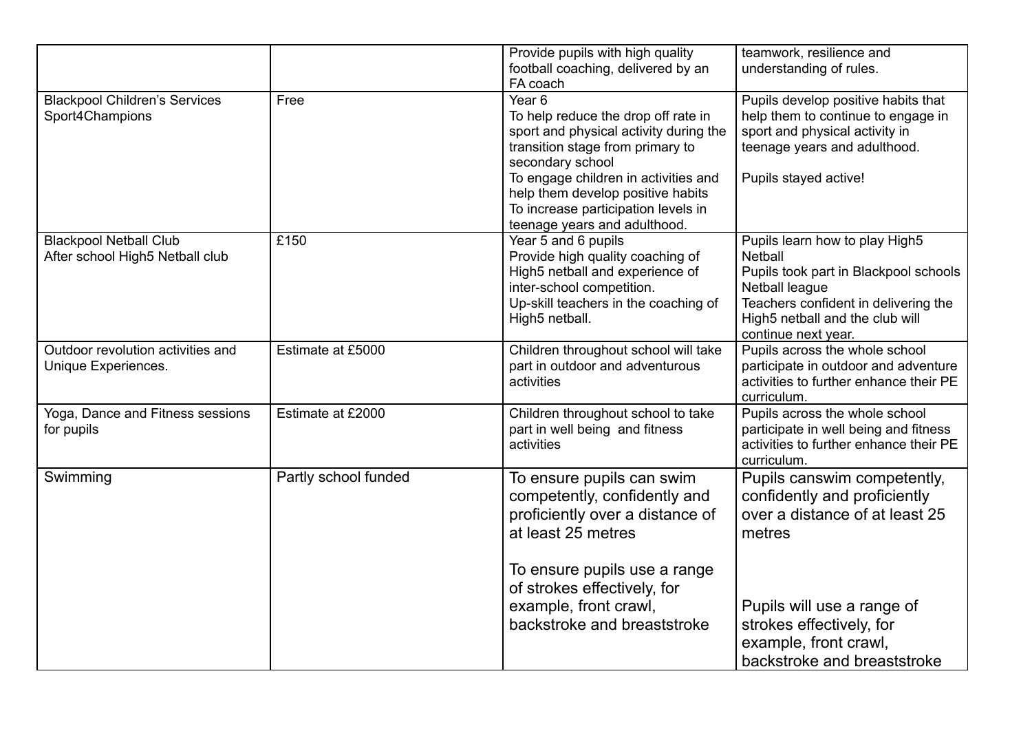|                                                                  |                      | Provide pupils with high quality<br>football coaching, delivered by an<br>FA coach                                                                                                                                                                                                                             | teamwork, resilience and<br>understanding of rules.                                                                                                                                                    |
|------------------------------------------------------------------|----------------------|----------------------------------------------------------------------------------------------------------------------------------------------------------------------------------------------------------------------------------------------------------------------------------------------------------------|--------------------------------------------------------------------------------------------------------------------------------------------------------------------------------------------------------|
| <b>Blackpool Children's Services</b><br>Sport4Champions          | Free                 | Year <sub>6</sub><br>To help reduce the drop off rate in<br>sport and physical activity during the<br>transition stage from primary to<br>secondary school<br>To engage children in activities and<br>help them develop positive habits<br>To increase participation levels in<br>teenage years and adulthood. | Pupils develop positive habits that<br>help them to continue to engage in<br>sport and physical activity in<br>teenage years and adulthood.<br>Pupils stayed active!                                   |
| <b>Blackpool Netball Club</b><br>After school High5 Netball club | £150                 | Year 5 and 6 pupils<br>Provide high quality coaching of<br>High5 netball and experience of<br>inter-school competition.<br>Up-skill teachers in the coaching of<br>High5 netball.                                                                                                                              | Pupils learn how to play High5<br>Netball<br>Pupils took part in Blackpool schools<br>Netball league<br>Teachers confident in delivering the<br>High5 netball and the club will<br>continue next year. |
| Outdoor revolution activities and<br>Unique Experiences.         | Estimate at £5000    | Children throughout school will take<br>part in outdoor and adventurous<br>activities                                                                                                                                                                                                                          | Pupils across the whole school<br>participate in outdoor and adventure<br>activities to further enhance their PE<br>curriculum.                                                                        |
| Yoga, Dance and Fitness sessions<br>for pupils                   | Estimate at £2000    | Children throughout school to take<br>part in well being and fitness<br>activities                                                                                                                                                                                                                             | Pupils across the whole school<br>participate in well being and fitness<br>activities to further enhance their PE<br>curriculum.                                                                       |
| Swimming                                                         | Partly school funded | To ensure pupils can swim<br>competently, confidently and<br>proficiently over a distance of<br>at least 25 metres                                                                                                                                                                                             | Pupils canswim competently,<br>confidently and proficiently<br>over a distance of at least 25<br>metres                                                                                                |
|                                                                  |                      | To ensure pupils use a range<br>of strokes effectively, for<br>example, front crawl,<br>backstroke and breaststroke                                                                                                                                                                                            | Pupils will use a range of<br>strokes effectively, for<br>example, front crawl,<br>backstroke and breaststroke                                                                                         |